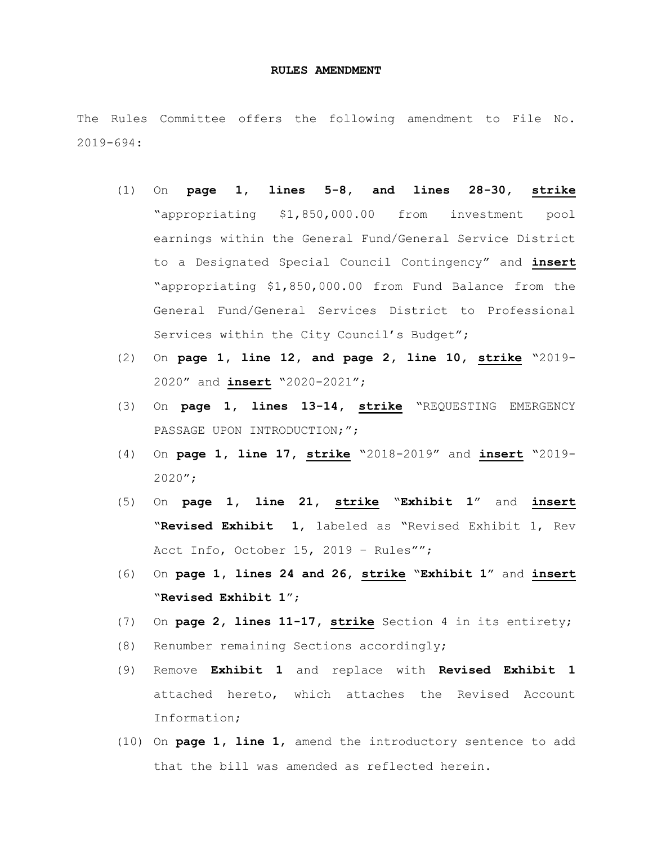## **RULES AMENDMENT**

The Rules Committee offers the following amendment to File No. 2019-694:

- (1) On **page 1, lines 5-8, and lines 28-30, strike** "appropriating \$1,850,000.00 from investment pool earnings within the General Fund/General Service District to a Designated Special Council Contingency" and **insert** "appropriating \$1,850,000.00 from Fund Balance from the General Fund/General Services District to Professional Services within the City Council's Budget";
- (2) On **page 1, line 12, and page 2, line 10, strike** "2019- 2020" and **insert** "2020-2021";
- (3) On **page 1, lines 13-14, strike** "REQUESTING EMERGENCY PASSAGE UPON INTRODUCTION;";
- (4) On **page 1, line 17, strike** "2018-2019" and **insert** "2019- 2020";
- (5) On **page 1, line 21, strike** "**Exhibit 1**" and **insert** "**Revised Exhibit 1**, labeled as "Revised Exhibit 1, Rev Acct Info, October 15, 2019 – Rules"";
- (6) On **page 1, lines 24 and 26, strike** "**Exhibit 1**" and **insert** "**Revised Exhibit 1**";
- (7) On **page 2, lines 11-17, strike** Section 4 in its entirety;
- (8) Renumber remaining Sections accordingly;
- (9) Remove **Exhibit 1** and replace with **Revised Exhibit 1** attached hereto, which attaches the Revised Account Information;
- (10) On **page 1, line 1**, amend the introductory sentence to add that the bill was amended as reflected herein.